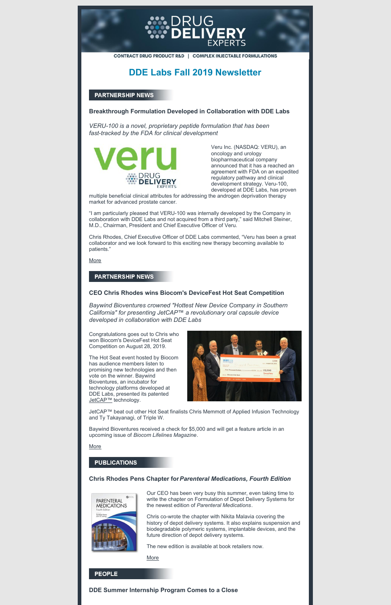

CONTRACT DRUG PRODUCT R&D | COMPLEX INJECTABLE FORMULATIONS

## **DDE Labs Fall 2019 Newsletter**

## **PARTNERSHIP NEWS**

### **Breakthrough Formulation Developed in Collaboration with DDE Labs**

*VERU-100 is a novel, proprietary peptide formulation that has been fast-tracked by the FDA for clinical development*



Veru Inc. (NASDAQ: VERU), an oncology and urology biopharmaceutical company announced that it has a reached an agreement with FDA on an expedited regulatory pathway and clinical development strategy. Veru-100, developed at DDE Labs, has proven

multiple beneficial clinical attributes for addressing the androgen deprivation therapy market for advanced prostate cancer.

The Hot Seat event hosted by Biocom has audience members listen to promising new technologies and then vote on the winner. Baywind Bioventures, an incubator for technology platforms developed at DDE Labs, presented its patented [JetCAP™](http://www.baywindbio.com/jetcap) technology.



"I am particularly pleased that VERU-100 was internally developed by the Company in collaboration with DDE Labs and not acquired from a third party," said Mitchell Steiner, M.D., Chairman, President and Chief Executive Officer of Veru.

Chris Rhodes, Chief Executive Officer of DDE Labs commented, "Veru has been a great collaborator and we look forward to this exciting new therapy becoming available to patients."

**[More](http://drugdeliveryexperts.com/wp-content/uploads/2015/03/Veru-100-PR-04JUN2019.pdf)** 

## **PARTNERSHIP NEWS**

#### **CEO Chris Rhodes wins Biocom's DeviceFest Hot Seat Competition**

*Baywind Bioventures crowned "Hottest New Device Company in Southern California" for presenting JetCAP*™ *a revolutionary oral capsule device developed in collaboration with DDE Labs*

Congratulations goes out to Chris who won Biocom's DeviceFest Hot Seat Competition on August 28, 2019.

JetCAP™ beat out other Hot Seat finalists Chris Memmott of Applied Infusion Technology and Ty Takayanagi, of Triple W.

Baywind Bioventures received a check for \$5,000 and will get a feature article in an upcoming issue of *Biocom Lifelines Magazine*.

#### [More](https://biocomdevicefest.org/hotseat/)

#### **PUBLICATIONS**

### **Chris Rhodes Pens Chapter for***Parenteral Medications, Fourth Edition*



Our CEO has been very busy this summer, even taking time to write the chapter on Formulation of Depot Delivery Systems for the newest edition of *Parenteral Medications*.

Chris co-wrote the chapter with Nikita Malavia covering the history of depot delivery systems. It also explains suspension and biodegradable polymeric systems, implantable devices, and the future direction of depot delivery systems.

The new edition is available at book retailers now.

[More](https://www.amazon.com/dp/1498719147/ref=cm_sw_em_r_mt_dp_U_xceADbH407ZND)

### **PEOPLE**

**DDE Summer Internship Program Comes to a Close**